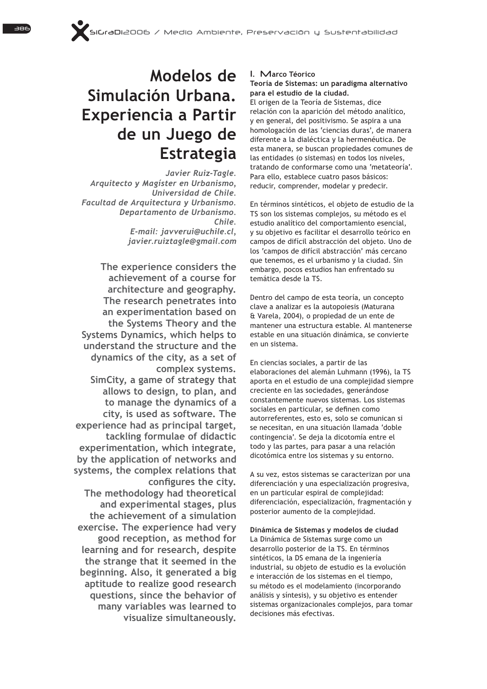# **Modelos de Simulación Urbana. Experiencia a Partir de un Juego de Estrategia**

Javier Ruiz-Tagle. Arquitecto y Magíster en Urbanismo, *Universidad de Chile.*  Facultad de Arquitectura y Urbanismo. *Departamento de Urbanismo. Chile.*  $E$ -mail: iavverui@uchile.cl. *javier.ruiztagle@gmail.com* 

The experience considers the **achievement of a course for architecture and geography. The research penetrates into**  an experimentation based on **the Systems Theory and the Systems Dynamics, which helps to understand the structure and the dynamics of the city, as a set of**  complex systems. **SimCity, a game of strategy that allows to design, to plan, and to manage the dynamics of a city, is used as software. The**  experience had as principal target, **tackling formulae of didactic**  experimentation, which integrate, **by the application of networks and**  systems, the complex relations that configures the city. **The methodology had theoretical**  and experimental stages, plus **the achievement of a simulation**  exercise. The experience had very **good reception, as method for learning and for research, despite the strange that it seemed in the beginning. Also, it generated a big aptitude to realize good research questions, since the behavior of many variables was learned to visualize simultaneously.**

## **1. Marco Téorico**

# **Teoría de Sistemas: un paradigma alternativo para el estudio de la ciudad.**

El origen de la Teoría de Sistemas, dice relación con la aparición del método analítico, y en general, del positivismo. Se aspira a una homologación de las 'ciencias duras', de manera diferente a la dialéctica y la hermenéutica. De esta manera, se buscan propiedades comunes de las entidades (o sistemas) en todos los niveles, tratando de conformarse como una 'metateoría'. Para ello, establece cuatro pasos básicos: reducir, comprender, modelar y predecir.

En términos sintéticos, el objeto de estudio de la TS son los sistemas complejos, su método es el estudio analítico del comportamiento esencial,  $V$  su objetivo es facilitar el desarrollo teórico en campos de difícil abstracción del objeto. Uno de los 'campos de difícil abstracción' más cercano que tenemos, es el urbanismo y la ciudad. Sin embargo, pocos estudios han enfrentado su temática desde la TS.

Dentro del campo de esta teoría, un concepto clave a analizar es la autopoiesis (Maturana & Varela, 2004), o propiedad de un ente de mantener una estructura estable. Al mantenerse estable en una situación dinámica, se convierte en un sistema.

En ciencias sociales, a partir de las elaboraciones del alemán Luhmann (1996), la TS aporta en el estudio de una complejidad siempre creciente en las sociedades, generándose constantemente nuevos sistemas. Los sistemas sociales en particular, se definen como autorreferentes, esto es, solo se comunican si se necesitan, en una situación llamada 'doble contingencia'. Se deja la dicotomía entre el todo y las partes, para pasar a una relación dicotómica entre los sistemas y su entorno.

A su vez, estos sistemas se caracterizan por una diferenciación y una especialización progresiva, en un particular espiral de complejidad: diferenciación, especialización, fragmentación y posterior aumento de la complejidad.

**Dinámica de Sistemas y modelos de ciudad** La Dinámica de Sistemas surge como un desarrollo posterior de la TS. En términos sintéticos, la DS emana de la ingeniería industrial, su objeto de estudio es la evolución e interacción de los sistemas en el tiempo, su método es el modelamiento (incorporando análisis y síntesis), y su objetivo es entender sistemas organizacionales complejos, para tomar decisiones más efectivas.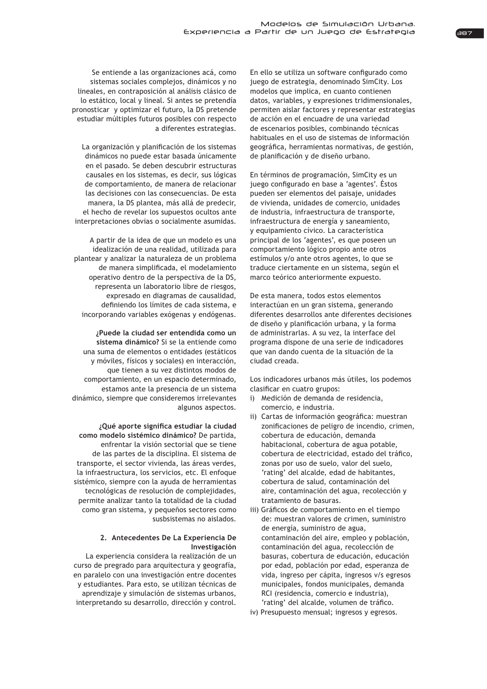Se entiende a las organizaciones acá, como sistemas sociales complejos, dinámicos y no lineales, en contraposición al análisis clásico de lo estático, local y lineal. Si antes se pretendía pronosticar y optimizar el futuro, la DS pretende estudiar múltiples futuros posibles con respecto a diferentes estrategias.

La organización y planificación de los sistemas dinámicos no puede estar basada únicamente en el pasado. Se deben descubrir estructuras causales en los sistemas, es decir, sus lógicas de comportamiento, de manera de relacionar las decisiones con las consecuencias. De esta manera, la DS plantea, más allá de predecir, el hecho de revelar los supuestos ocultos ante interpretaciones obvias o socialmente asumidas.

A partir de la idea de que un modelo es una idealización de una realidad, utilizada para plantear y analizar la naturaleza de un problema de manera simplificada, el modelamiento operativo dentro de la perspectiva de la DS, representa un laboratorio libre de riesgos, expresado en diagramas de causalidad, definiendo los límites de cada sistema, e incorporando variables exógenas y endógenas.

**¿Puede la ciudad ser entendida como un**  sistema dinámico? Si se la entiende como una suma de elementos o entidades (estáticos y móviles, físicos y sociales) en interacción, que tienen a su vez distintos modos de comportamiento, en un espacio determinado, estamos ante la presencia de un sistema dinámico, siempre que consideremos irrelevantes algunos aspectos.

*i*Qué aporte significa estudiar la ciudad como modelo sistémico dinámico? De partida, enfrentar la visión sectorial que se tiene de las partes de la disciplina. El sistema de transporte, el sector vivienda, las áreas verdes, la infraestructura, los servicios, etc. El enfoque sistémico, siempre con la ayuda de herramientas tecnológicas de resolución de complejidades, permite analizar tanto la totalidad de la ciudad como gran sistema, y pequeños sectores como susbsistemas no aislados.

## 2. Antecedentes De La Experiencia De **Investigación**

La experiencia considera la realización de un curso de pregrado para arquitectura y geografía, en paralelo con una investigación entre docentes y estudiantes. Para esto, se utilizan técnicas de aprendizaje y simulación de sistemas urbanos, interpretando su desarrollo, dirección y control.

En ello se utiliza un software configurado como juego de estrategia, denominado SimCity. Los modelos que implica, en cuanto contienen datos, variables, y expresiones tridimensionales, permiten aislar factores y representar estrategias de acción en el encuadre de una variedad de escenarios posibles, combinando técnicas habituales en el uso de sistemas de información geográfica, herramientas normativas, de gestión, de planificación y de diseño urbano.

En términos de programación, SimCity es un juego configurado en base a 'agentes'. Éstos pueden ser elementos del paisaje, unidades de vivienda, unidades de comercio, unidades de industria, infraestructura de transporte, infraestructura de energía y saneamiento, v equipamiento cívico. La característica principal de los 'agentes', es que poseen un comportamiento lógico propio ante otros estímulos y/o ante otros agentes, lo que se traduce ciertamente en un sistema, según el marco teórico anteriormente expuesto.

De esta manera, todos estos elementos interactúan en un gran sistema, generando diferentes desarrollos ante diferentes decisiones de diseño y planificación urbana, y la forma de administrarlas. A su vez, la interface del programa dispone de una serie de indicadores que van dando cuenta de la situación de la ciudad creada.

Los indicadores urbanos más útiles, los podemos clasificar en cuatro grupos:

- i) Medición de demanda de residencia, comercio, e industria.
- ii) Cartas de información geográfica: muestran zonificaciones de peligro de incendio, crimen, cobertura de educación, demanda habitacional, cobertura de agua potable, cobertura de electricidad, estado del tráfico, zonas por uso de suelo, valor del suelo, 'rating' del alcalde, edad de habitantes, cobertura de salud, contaminación del aire, contaminación del agua, recolección y tratamiento de basuras.
- iii) Gráficos de comportamiento en el tiempo de: muestran valores de crimen, suministro de energía, suministro de agua, contaminación del aire, empleo y población, contaminación del agua, recolección de basuras, cobertura de educación, educación por edad, población por edad, esperanza de vida, ingreso per cápita, ingresos v/s egresos municipales, fondos municipales, demanda RCI (residencia, comercio e industria), 'rating' del alcalde, volumen de tráfico.
- iv) Presupuesto mensual; ingresos y egresos.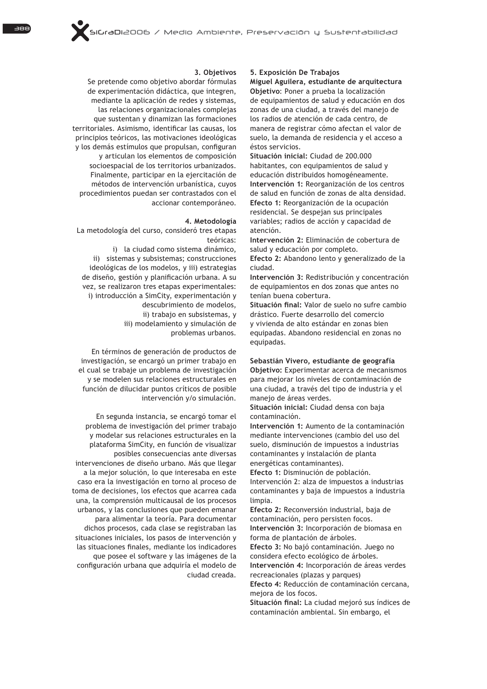#### **3. Objetivos**

Se pretende como objetivo abordar fórmulas de experimentación didáctica, que integren, mediante la aplicación de redes y sistemas, las relaciones organizacionales complejas que sustentan y dinamizan las formaciones territoriales. Asimismo, identificar las causas, los principios teóricos, las motivaciones ideológicas y los demás estímulos que propulsan, configuran y articulan los elementos de composición socioespacial de los territorios urbanizados. Finalmente, participar en la ejercitación de métodos de intervención urbanística, cuyos procedimientos puedan ser contrastados con el accionar contemporáneo.

#### **4. Metodología**

La metodología del curso, consideró tres etapas teóricas:

i) la ciudad como sistema dinámico, ii) sistemas y subsistemas; construcciones ideológicas de los modelos, y iii) estrategias de diseño, gestión y planificación urbana. A su vez, se realizaron tres etapas experimentales: i) introducción a SimCity, experimentación y descubrimiento de modelos, ii) trabajo en subsistemas, y iii) modelamiento y simulación de problemas urbanos.

En términos de generación de productos de investigación, se encargó un primer trabajo en el cual se trabaje un problema de investigación y se modelen sus relaciones estructurales en función de dilucidar puntos críticos de posible intervención y/o simulación.

En segunda instancia, se encargó tomar el problema de investigación del primer trabajo y modelar sus relaciones estructurales en la plataforma SimCity, en función de visualizar posibles consecuencias ante diversas intervenciones de diseño urbano. Más que llegar a la mejor solución, lo que interesaba en este caso era la investigación en torno al proceso de toma de decisiones, los efectos que acarrea cada una, la comprensión multicausal de los procesos  $urbanos$ ,  $v$  las conclusiones que pueden emanar para alimentar la teoría. Para documentar dichos procesos, cada clase se registraban las situaciones iniciales, los pasos de intervención y las situaciones finales, mediante los indicadores que posee el software y las imágenes de la configuración urbana que adquiría el modelo de ciudad creada.

# **5. Exposición De Trabajos**

**Miguel Aguilera, estudiante de arquitectura Objetivo:** Poner a prueba la localización de equipamientos de salud y educación en dos zonas de una ciudad, a través del manejo de los radios de atención de cada centro, de manera de registrar cómo afectan el valor de suelo, la demanda de residencia y el acceso a éstos servicios.

Situación inicial: Ciudad de 200.000 habitantes, con equipamientos de salud y educación distribuidos homogéneamente. Intervención 1: Reorganización de los centros de salud en función de zonas de alta densidad. Efecto 1: Reorganización de la ocupación residencial. Se despejan sus principales variables; radios de acción y capacidad de atención.

**Intervención 2:** Eliminación de cobertura de salud y educación por completo.

Efecto 2: Abandono lento y generalizado de la ciudad.

Intervención 3: Redistribución y concentración de equipamientos en dos zonas que antes no tenían buena cobertura.

Situación final: Valor de suelo no sufre cambio drástico. Fuerte desarrollo del comercio y vivienda de alto estándar en zonas bien equipadas. Abandono residencial en zonas no equipadas.

#### **Sebastián Vivero, estudiante de geografía**

**Objetivo:** Experimentar acerca de mecanismos para mejorar los niveles de contaminación de una ciudad, a través del tipo de industria y el manejo de áreas verdes.

Situación inicial: Ciudad densa con baja  $contaminac$ ión

Intervención 1: Aumento de la contaminación mediante intervenciones (cambio del uso del suelo, disminución de impuestos a industrias contaminantes y instalación de planta energéticas contaminantes).

**Efecto 1:** Disminución de población. Intervención 2: alza de impuestos a industrias contaminantes y baja de impuestos a industria limpia.

Efecto 2: Reconversión industrial, baja de contaminación, pero persisten focos. **Intervención 3:** Incorporación de biomasa en forma de plantación de árboles.

Efecto 3: No bajó contaminación. Juego no considera efecto ecológico de árboles. Intervención 4: Incorporación de áreas verdes

recreacionales (plazas y parques)

Efecto 4: Reducción de contaminación cercana, mejora de los focos.

Situación final: La ciudad mejoró sus índices de contaminación ambiental. Sin embargo, el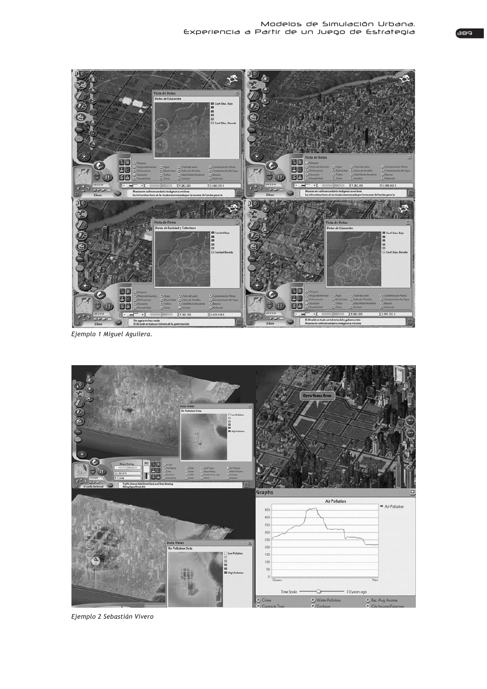

*Ejemplo 1 Miguel Aguilera.*



*Ejemplo 2 Sebastián Vivero*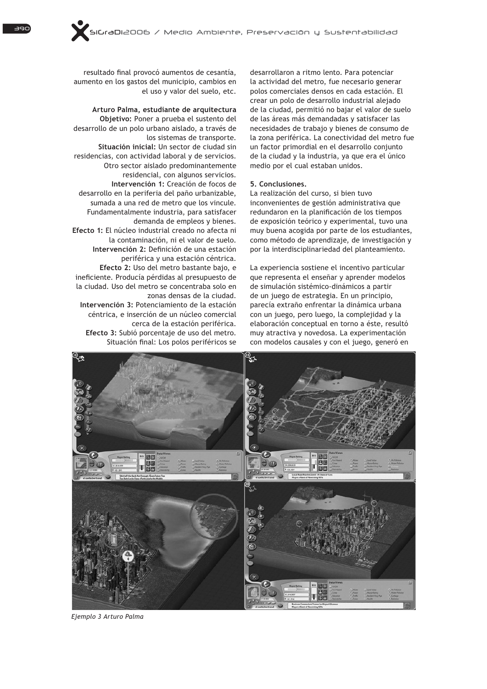resultado final provocó aumentos de cesantía, aumento en los gastos del municipio, cambios en el uso y valor del suelo, etc.

**Arturo Palma, estudiante de arquitectura 2EMHWLYR:** Poner a prueba el sustento del desarrollo de un polo urbano aislado, a través de los sistemas de transporte. Situación inicial: Un sector de ciudad sin residencias, con actividad laboral y de servicios. Otro sector aislado predominantemente residencial, con algunos servicios. **Intervención 1:** Creación de focos de desarrollo en la periferia del paño urbanizable. sumada a una red de metro que los vincule. Fundamentalmente industria, para satisfacer demanda de empleos y bienes. Efecto 1: El núcleo industrial creado no afecta ni la contaminación, ni el valor de suelo. Intervención 2: Definición de una estación periférica y una estación céntrica. **Efecto 2:** Uso del metro bastante bajo, e ineficiente. Producía pérdidas al presupuesto de la ciudad. Uso del metro se concentraba solo en habuito al ab zanas densa **Intervención 3: Potenciamiento de la estación** céntrica, e inserción de un núcleo comercial cerca de la estación periférica. Efecto 3: Subió porcentaje de uso del metro. Situación final: Los polos periféricos se

desarrollaron a ritmo lento. Para potenciar la actividad del metro, fue necesario generar polos comerciales densos en cada estación. El crear un polo de desarrollo industrial alejado de la ciudad, permitió no bajar el valor de suelo de las áreas más demandadas y satisfacer las necesidades de trabajo y bienes de consumo de la zona periférica. La conectividad del metro fue un factor primordial en el desarrollo conjunto de la ciudad y la industria, ya que era el único medio por el cual estaban unidos.

### **5. Conclusiones.**

La realización del curso, si bien tuvo inconvenientes de gestión administrativa que redundaron en la planificación de los tiempos de exposición teórico y experimental, tuvo una muy buena acogida por parte de los estudiantes, como método de aprendizaje, de investigación y por la interdisciplinariedad del planteamiento.

La experiencia sostiene el incentivo particular que representa el enseñar y aprender modelos de simulación sistémico-dinámicos a partir de un juego de estrategia. En un principio, parecía extraño enfrentar la dinámica urbana con un juego, pero luego, la complejidad y la elaboración conceptual en torno a éste, resultó muy atractiva y novedosa. La experimentación con modelos causales y con el juego, generó en



*Ejemplo 3 Arturo Palma*